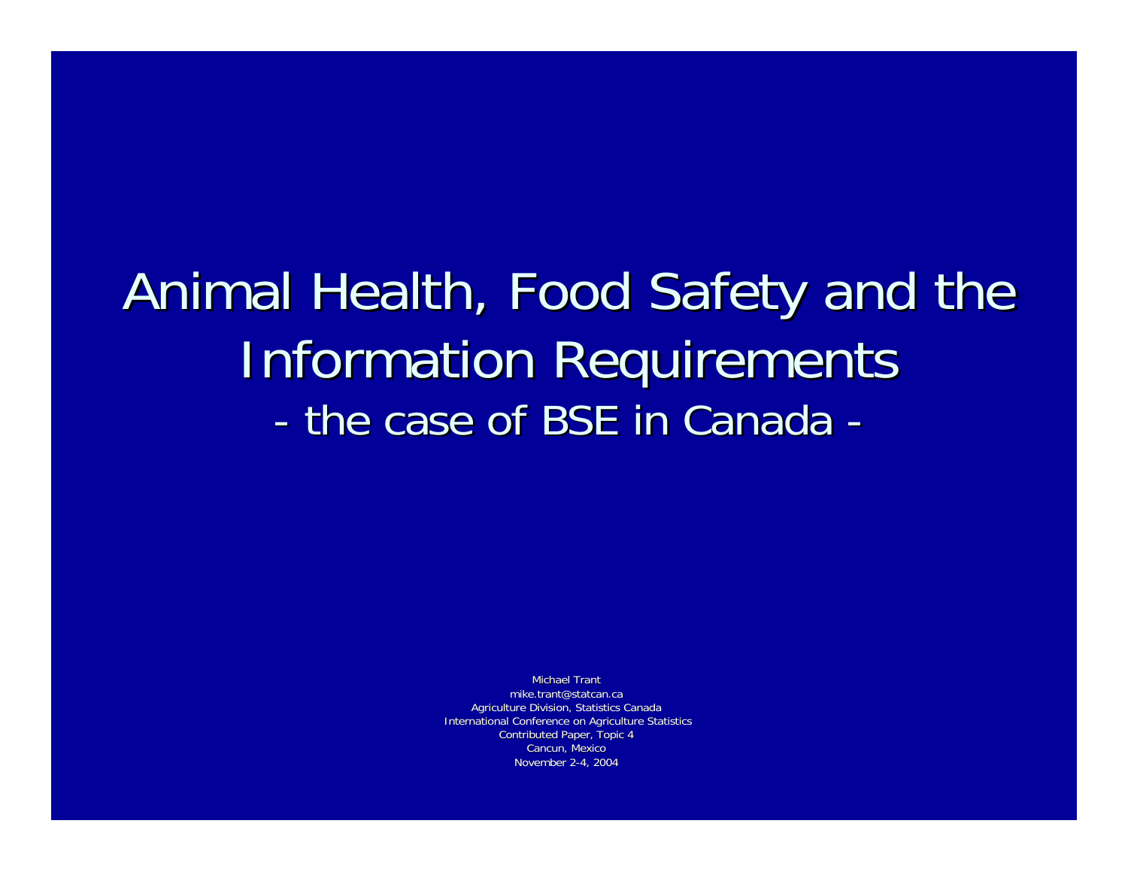# Animal Health, Food Safety and the **Information Requirements** - the case of BSE in Canada

Michael Trantmike.trant@statcan.caAgriculture Division, Statistics Canada International Conference on Agriculture Statistics Contributed Paper, Topic 4 Cancun, Mexico November 2-4, 2004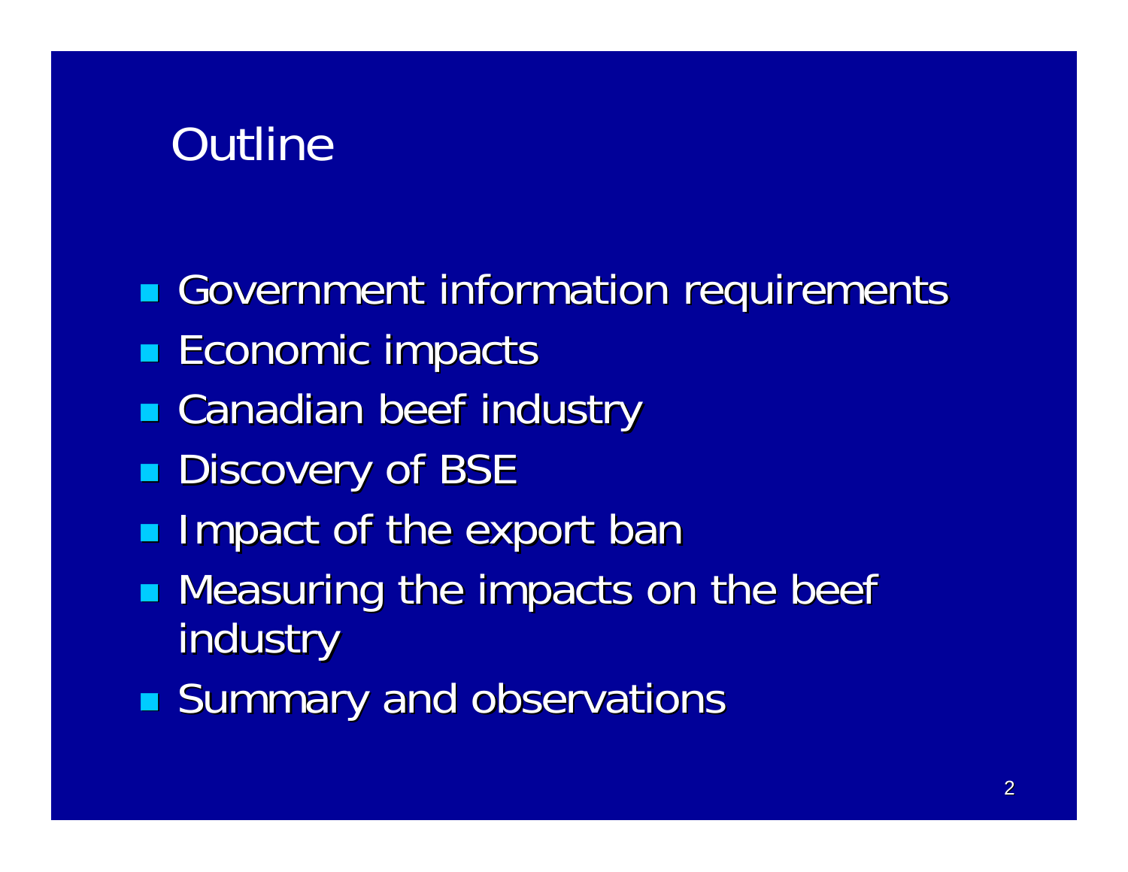## **Outline**

- Government information requirements
- **Economic impacts**
- **Examadian beef industry**
- **Discovery of BSE**
- **Impact of the export ban**
- **STATE Measuring the impacts on the beef** industry
- **Summary and observations**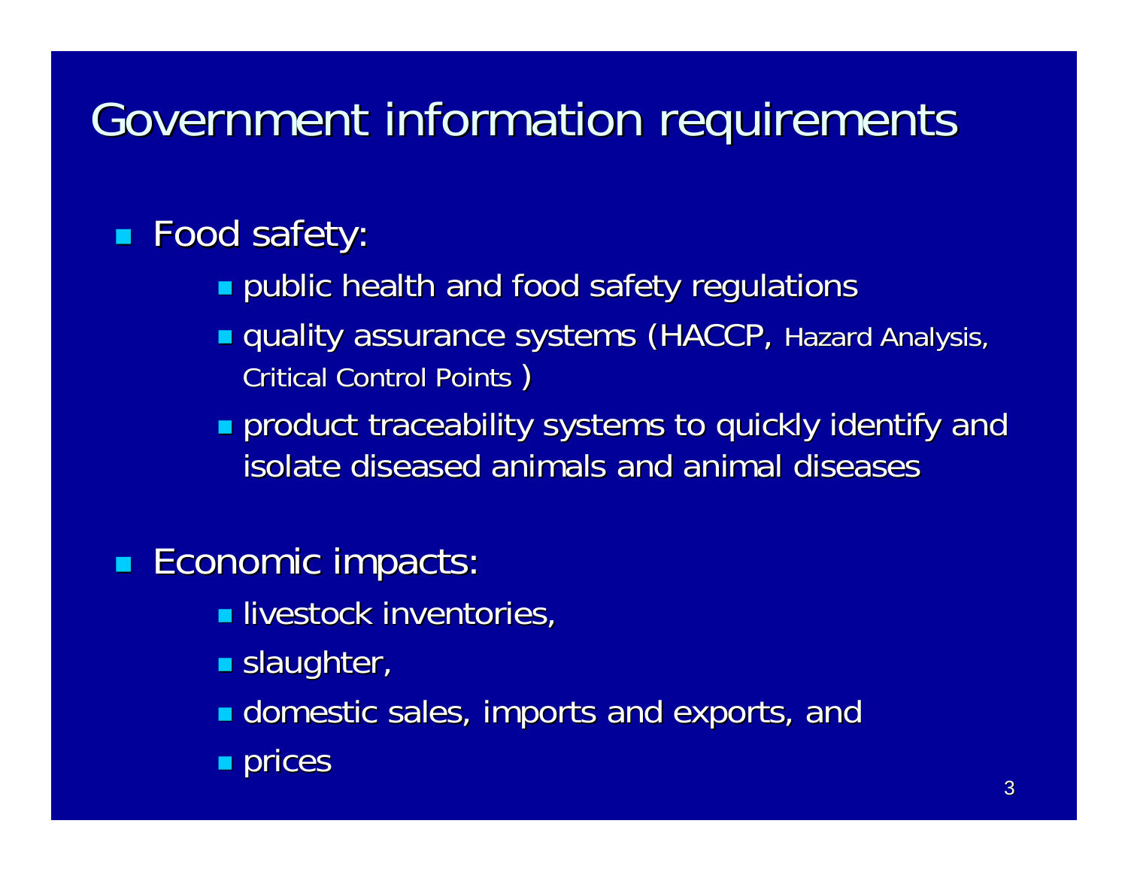# Government information requirements

#### a. **Food safety:**

- $\textcolor{red}{\bullet}$  public health and food safety regulations
- **quality assurance systems (HACCP, Hazard Analysis,** Critical Control Points )
- $\blacksquare$  product traceability systems to quickly identify and isolate diseased animals and animal diseases

#### an<br>M **Economic impacts:**

- $\blacksquare$  livestock inventories,
- $\blacksquare$  slaughter,
- **E** domestic sales, imports and exports, and
- $\blacksquare$  prices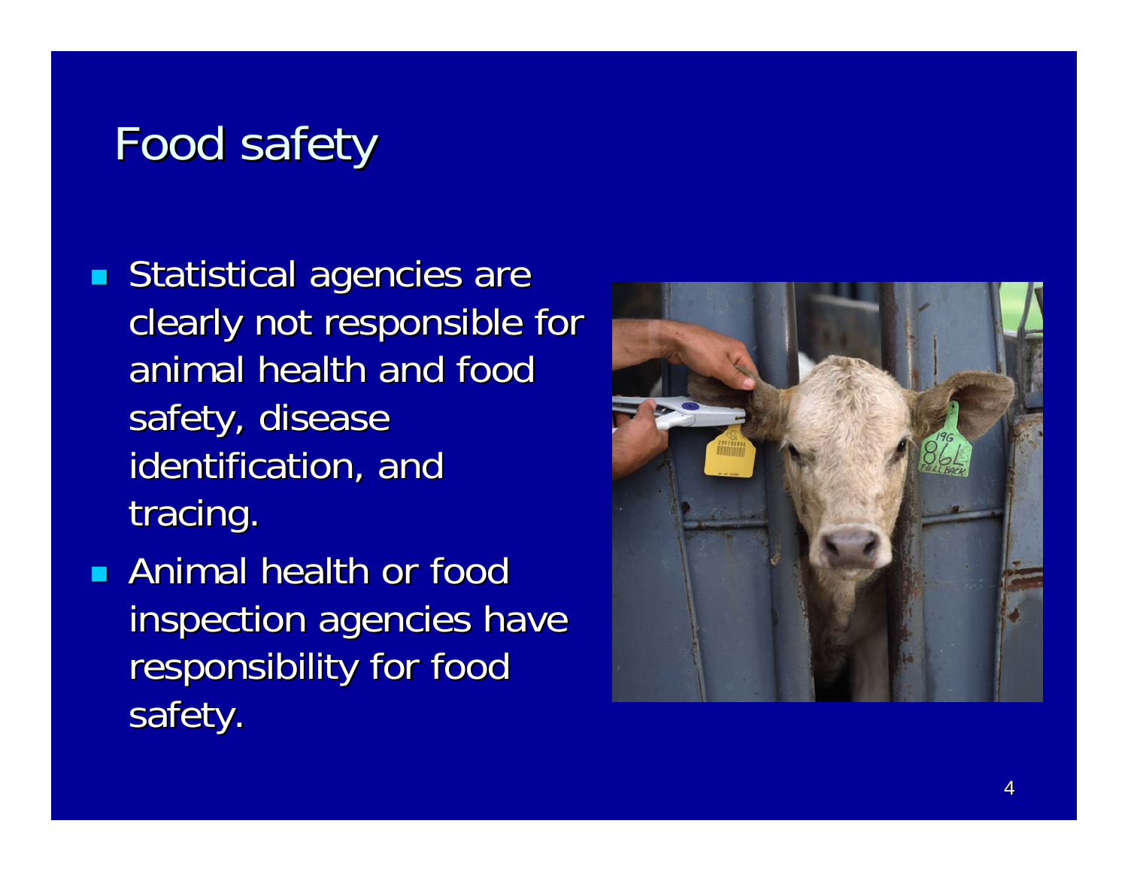## Food safety

- e<br>M  $\blacksquare$  Statistical agencies are clearly not responsible for animal health and food safety, disease identification, and tracing.
- **Animal health or food** inspection agencies have responsibility for food safety.

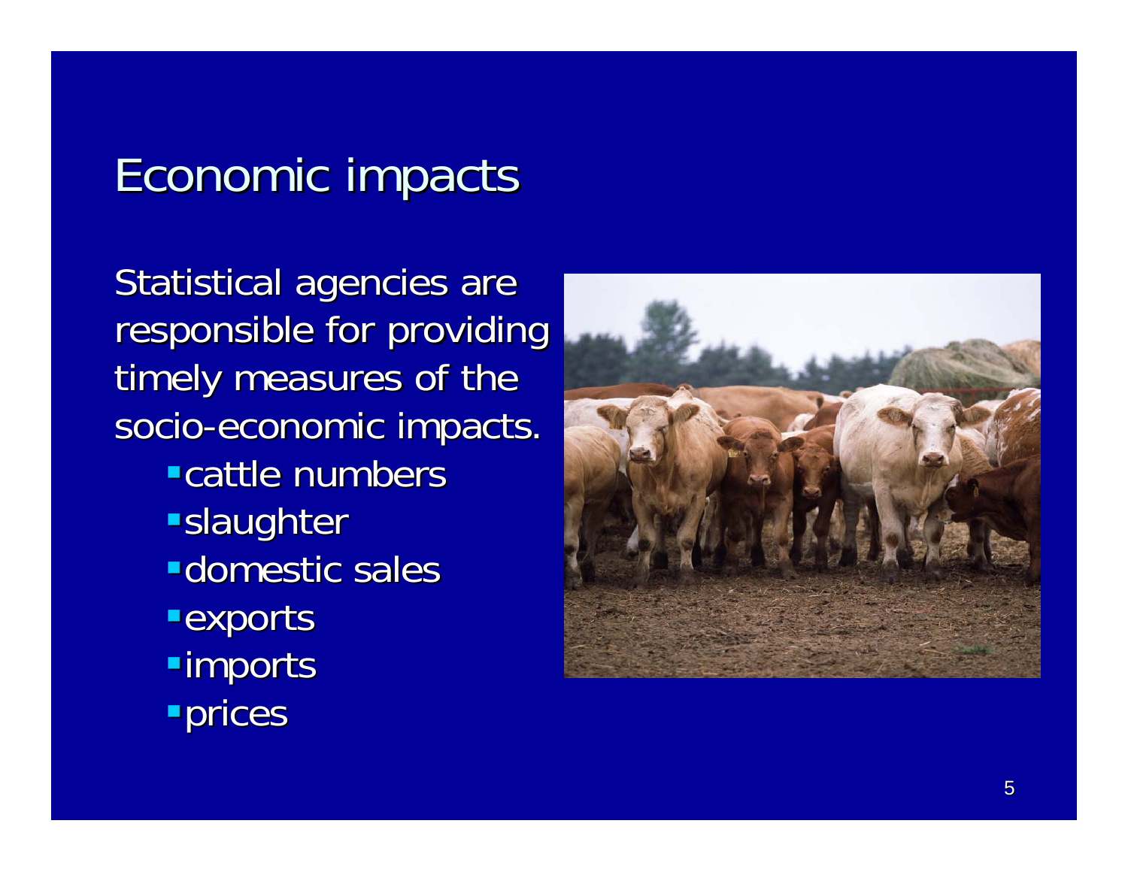### Economic impacts

Statistical agencies are responsible for providing timely measures of the socio-economic impacts. **-cattle numbers slaughter -domestic sales Exports**  $\blacksquare$ imports **Prices** 

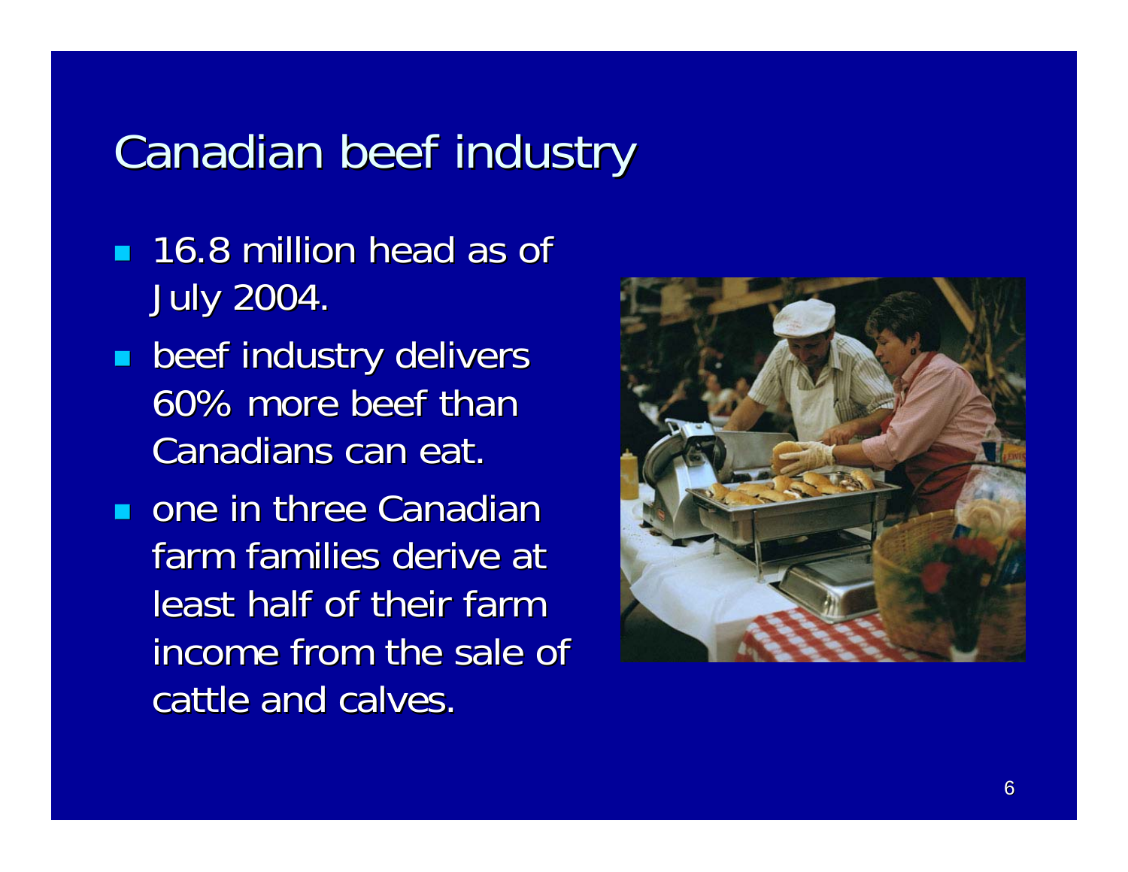### Canadian beef industry

- **16.8 million head as of** July 2004. July 2004.
- an<br>M **Deef industry delivers** 60% more beef than Canadians can eat.
- $\blacksquare$  one in three Canadian farm families derive at least half of their farm income from the sale of cattle and calves.

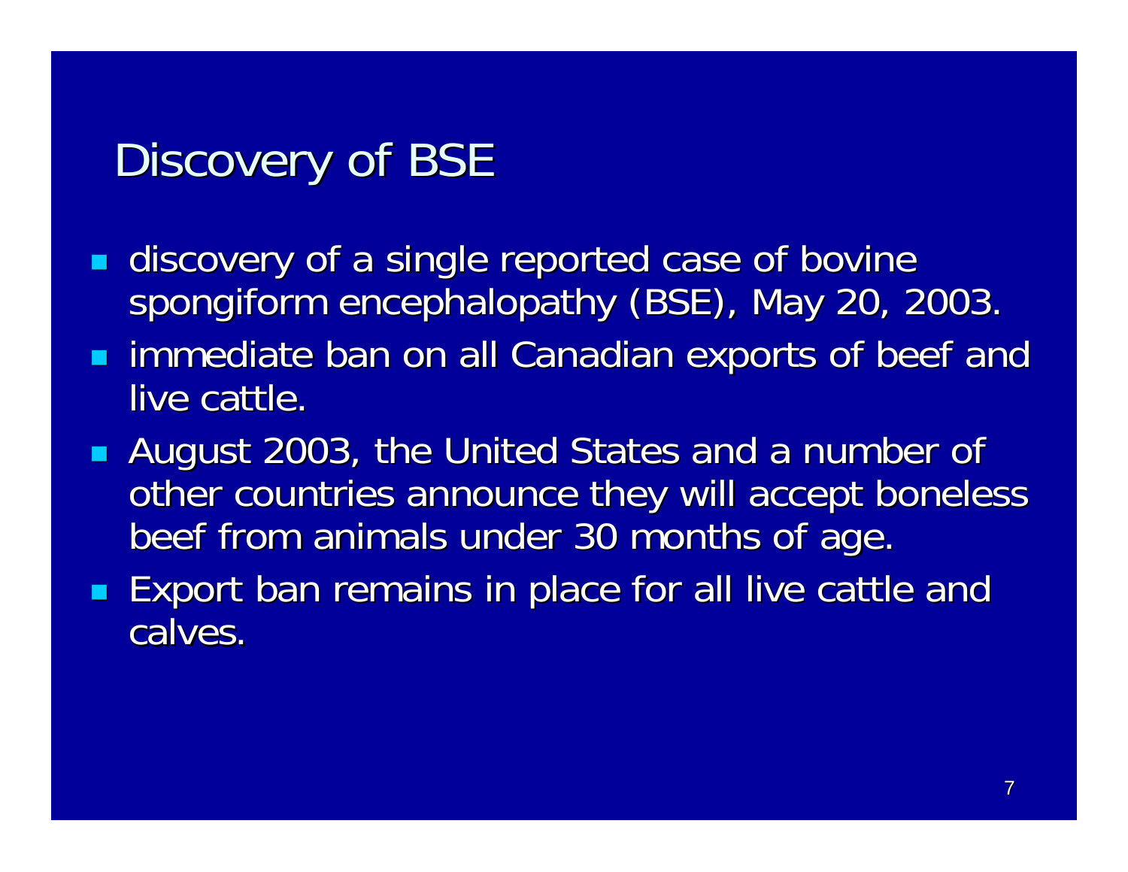## Discovery of BSE

- e<br>M discovery of a single reported case of bovine spongiform encephalopathy (BSE), May 20, 2003.
- **External immediate ban on all Canadian exports of beef and immediate ban on all Canadian exports of beef and** live cattle.
- **August 2003, the United States and a number of** other countries announce they will accept boneless beef from animals under 30 months of age.
- Export ban remains in place for all live cattle and calves.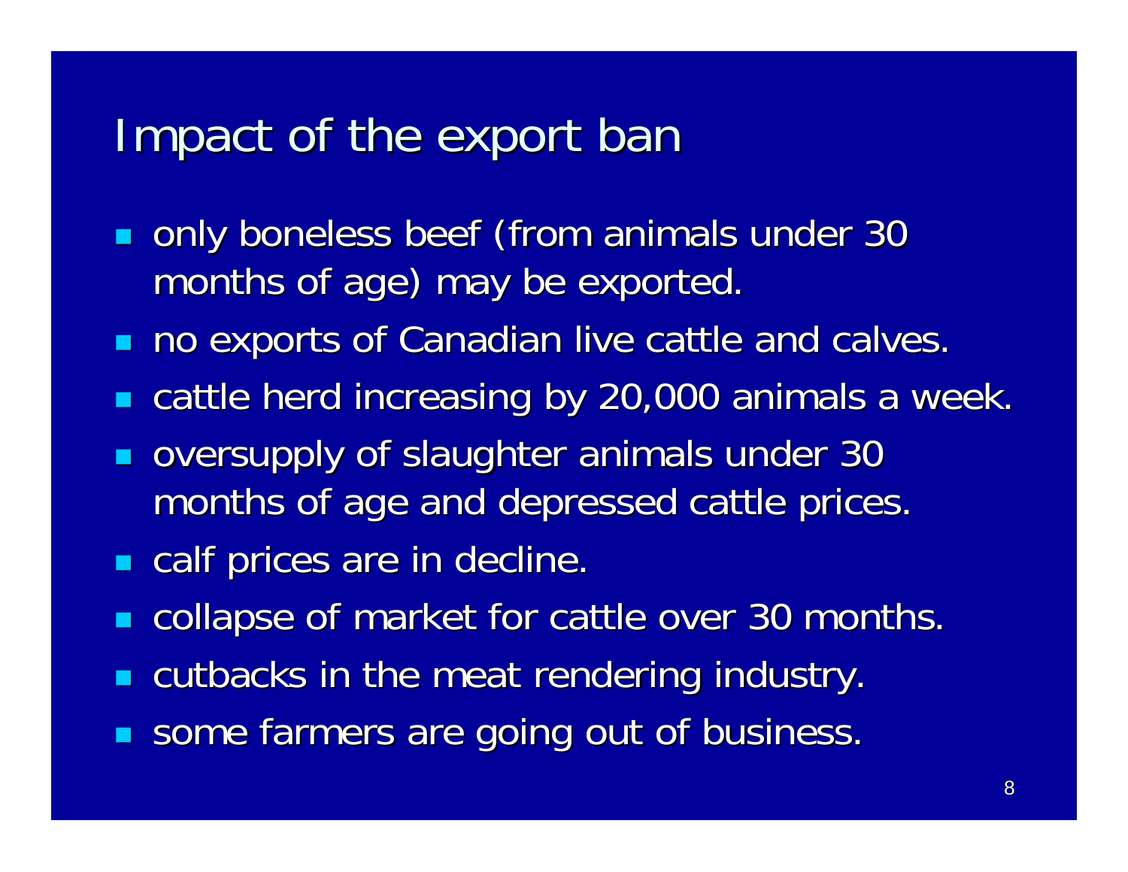### Impact of the export ban

- a. only boneless beef (from animals under 30 months of age) may be exported.
- $\blacksquare$ no exports of Canadian live cattle and calves.
- п cattle herd increasing by 20,000 animals a week.
- $\blacksquare$ oversupply of slaughter animals under 30 months of age and depressed cattle prices.
- an<br>M **calf prices are in decline.**
- п collapse of market for cattle over 30 months.
- $\blacksquare$ cutbacks in the meat rendering industry.
- п some farmers are going out of business.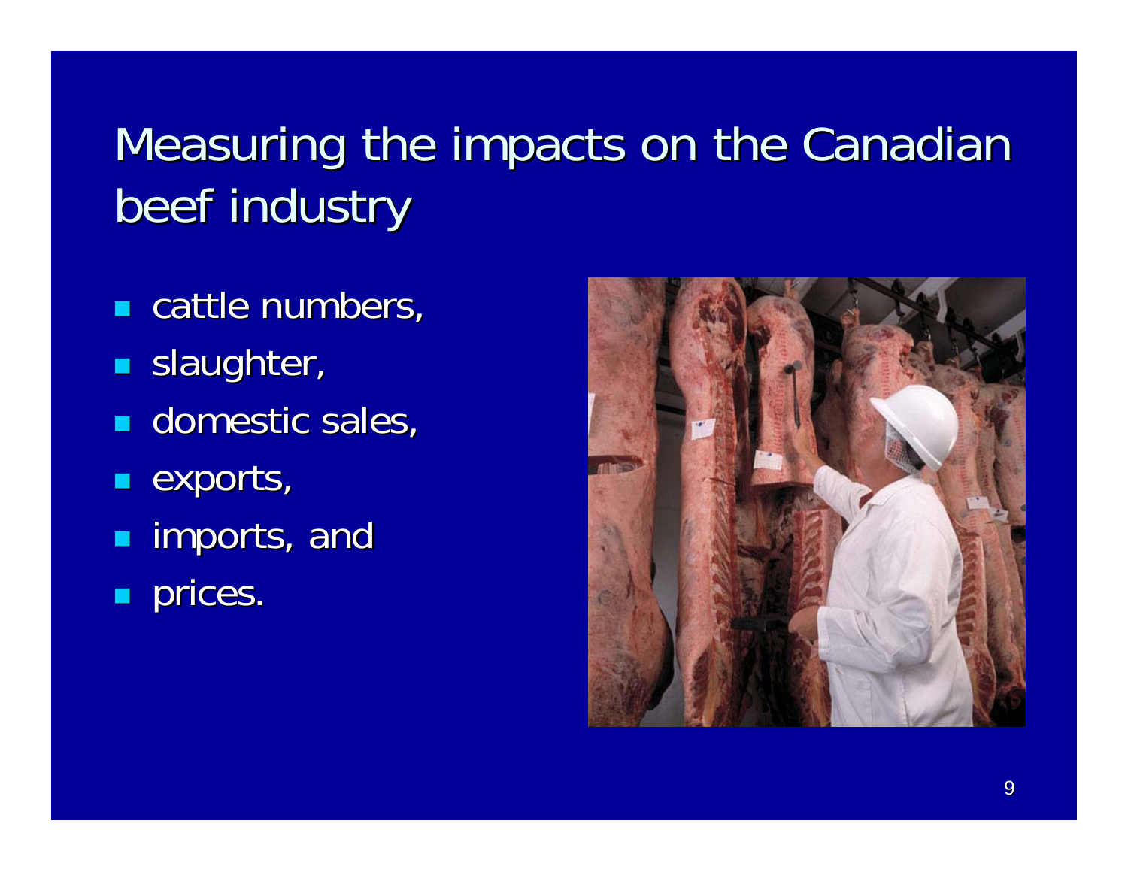# Measuring the impacts on the Canadian beef industry

- $\blacksquare$  cattle numbers,
- an<br>M **slaughter**,
- **domestic sales**,
- $\blacksquare$  exports,
- an<br>M **Example imports, and**
- $\blacksquare$ prices.

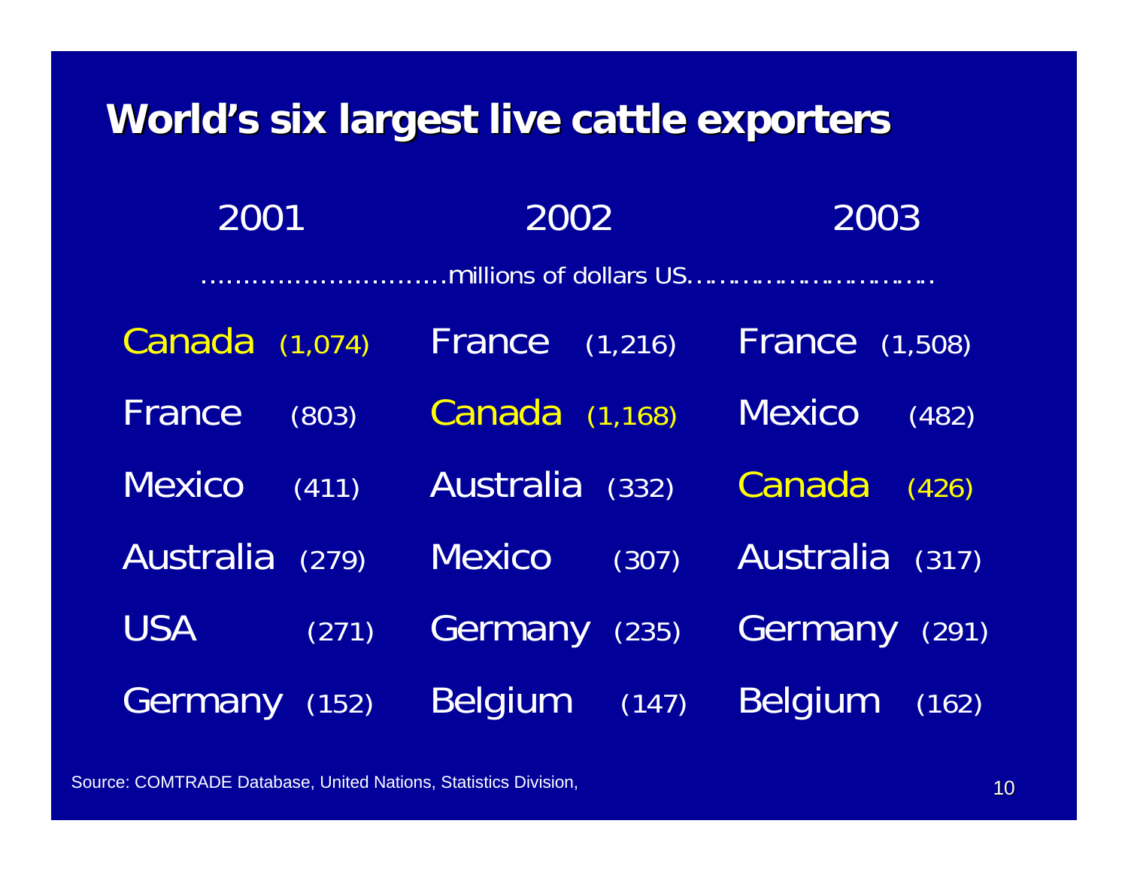### **World's six largest live cattle exporters**

| 2001              | 2002               | 2003                   |
|-------------------|--------------------|------------------------|
|                   |                    |                        |
| Canada<br>(1,074) | France<br>(1, 216) | <b>France</b> (1,508)  |
| France<br>(803)   | Canada (1,168)     | <b>Mexico</b><br>(482) |
| <b>Mexico</b>     | <b>Australia</b>   | Canada                 |
| (411)             | (332)              | (426)                  |
| <b>Australia</b>  | <b>Mexico</b>      | Australia              |
| (279)             | (307)              | (317)                  |
| <b>USA</b>        | Germany            | Germany                |
| (271)             | (235)              | (291)                  |
| Germany           | <b>Belgium</b>     | <b>Belgium</b>         |
| (152)             | (147)              | (162)                  |

Source: COMTRADE Database, United Nations, Statistics Division,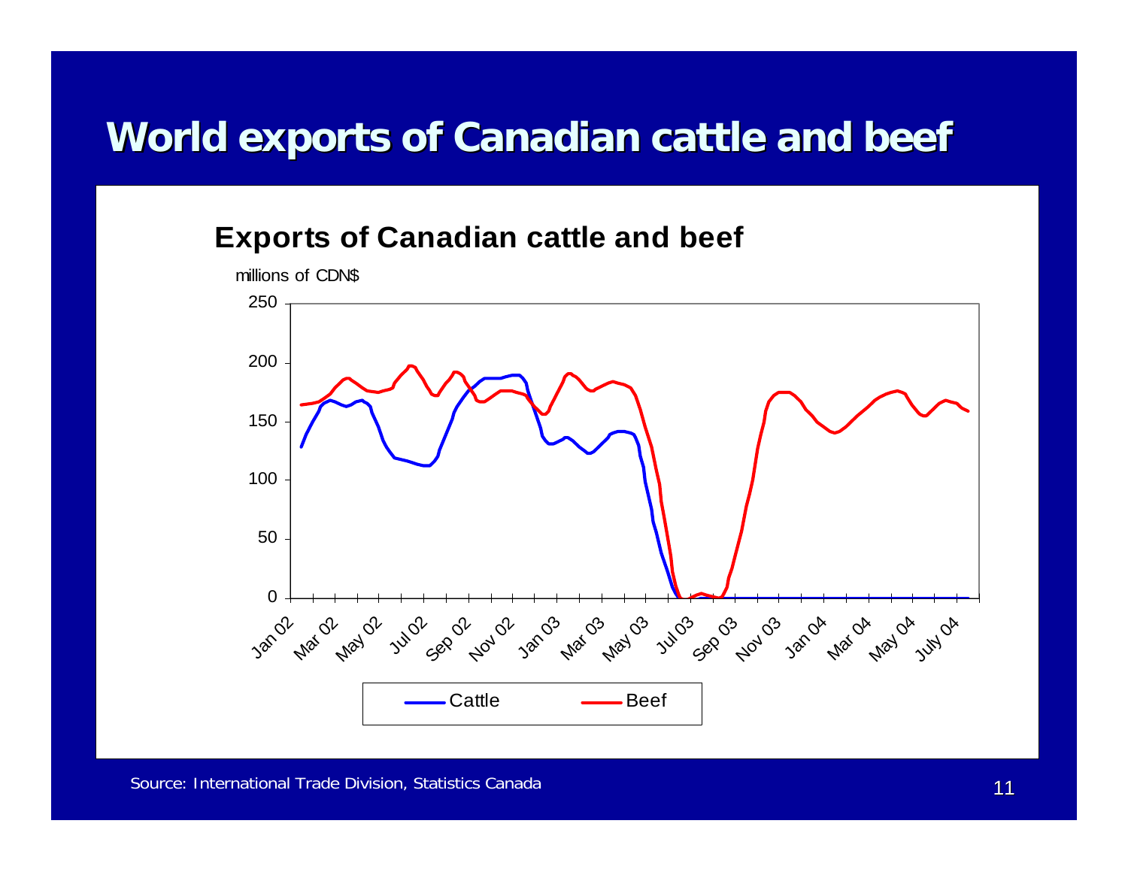### **World exports of Canadian cattle and beef World exports of Canadian cattle and beef**

#### **Exports of Canadian cattle and beef**

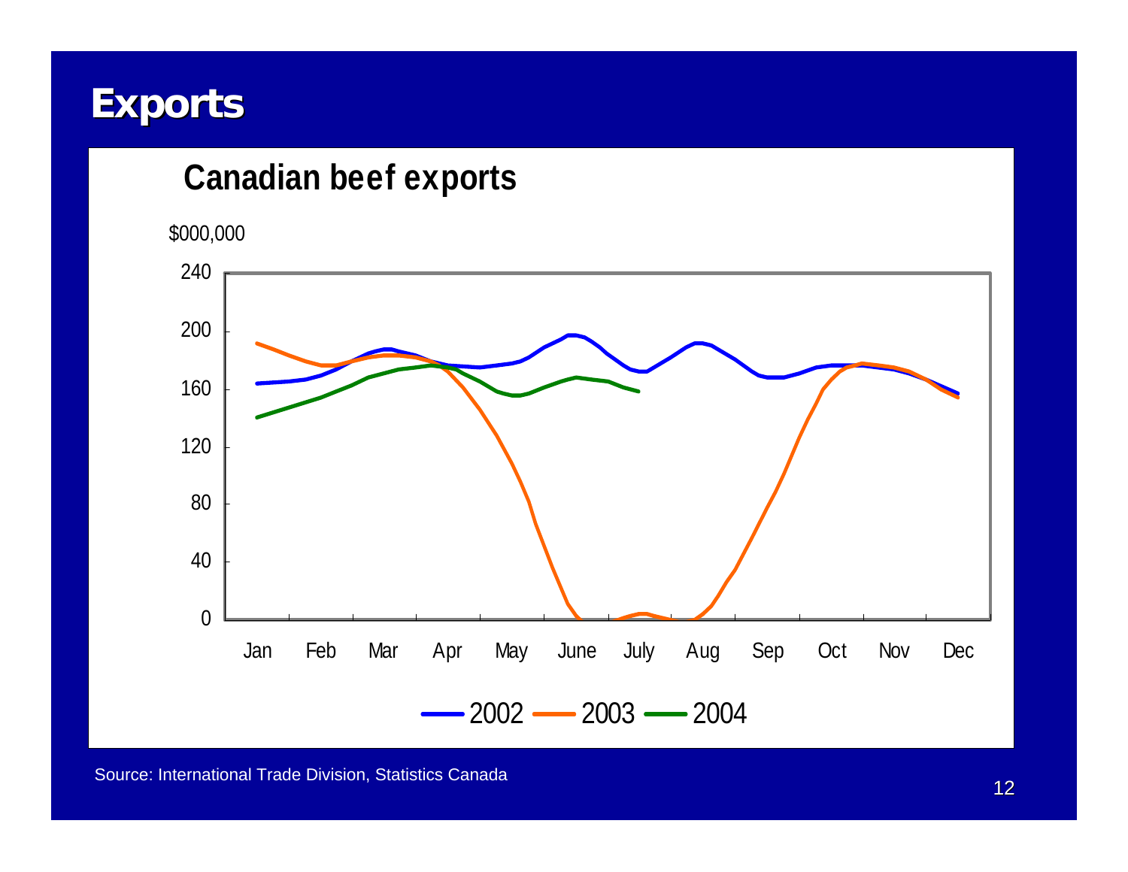### **Exports Exports**

#### **Canadian beef exports**

\$000,000

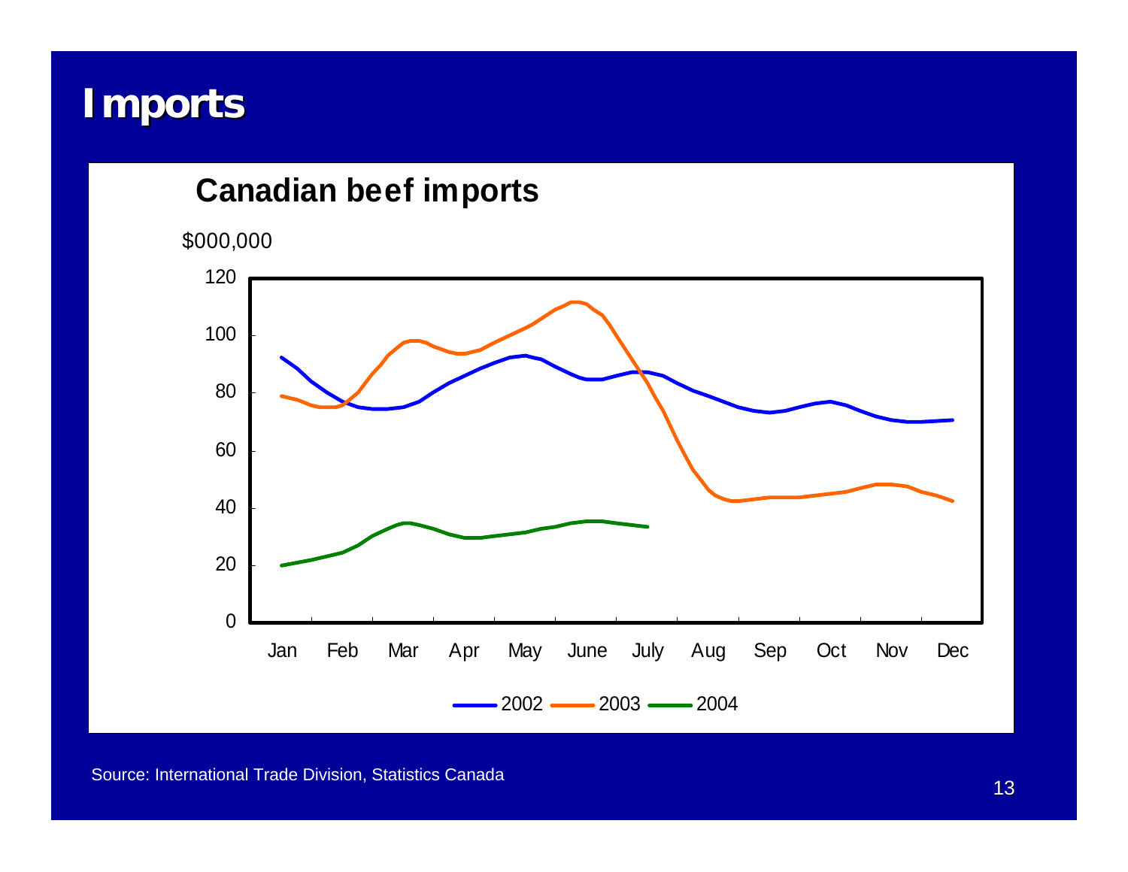### **Imports Imports**

#### **Canadian beef imports**

\$000,000

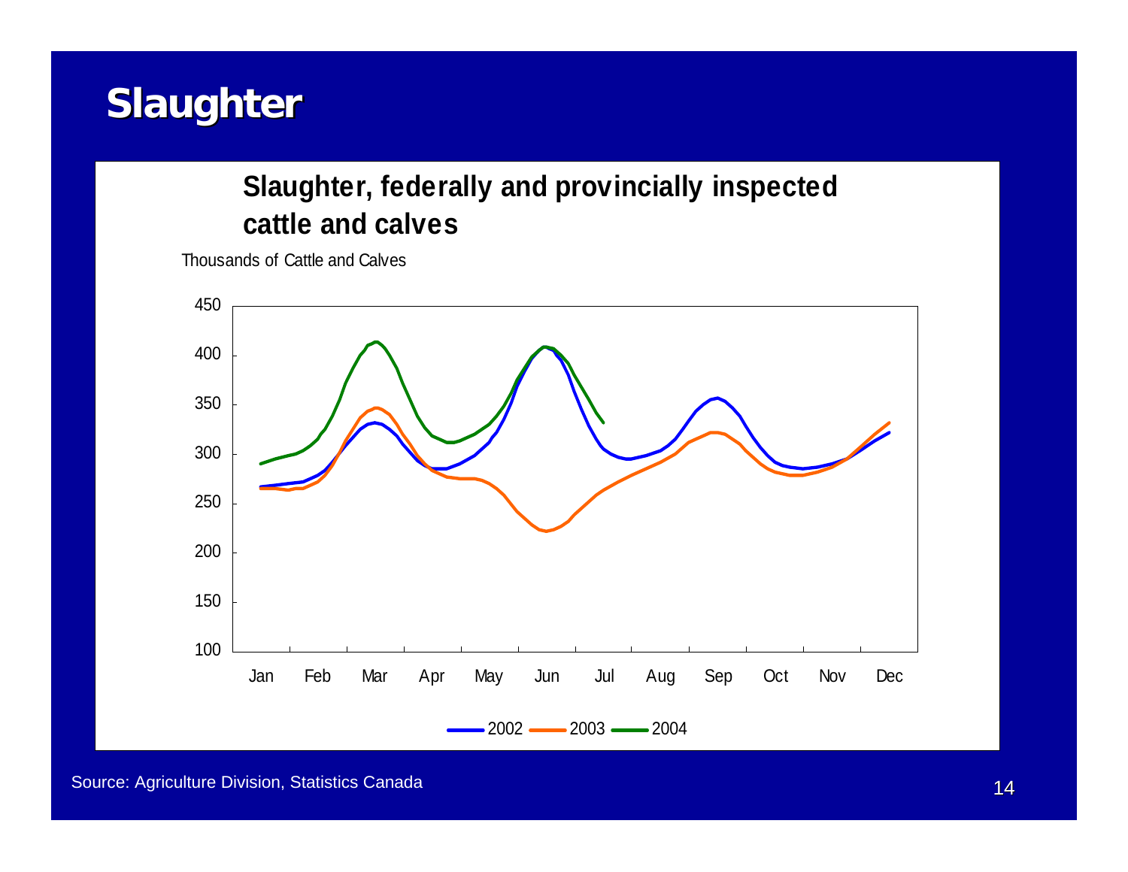### **Slaughter**

#### **Slaughter, federally and provincially inspected cattle and calves**

Thousands of Cattle and Calves

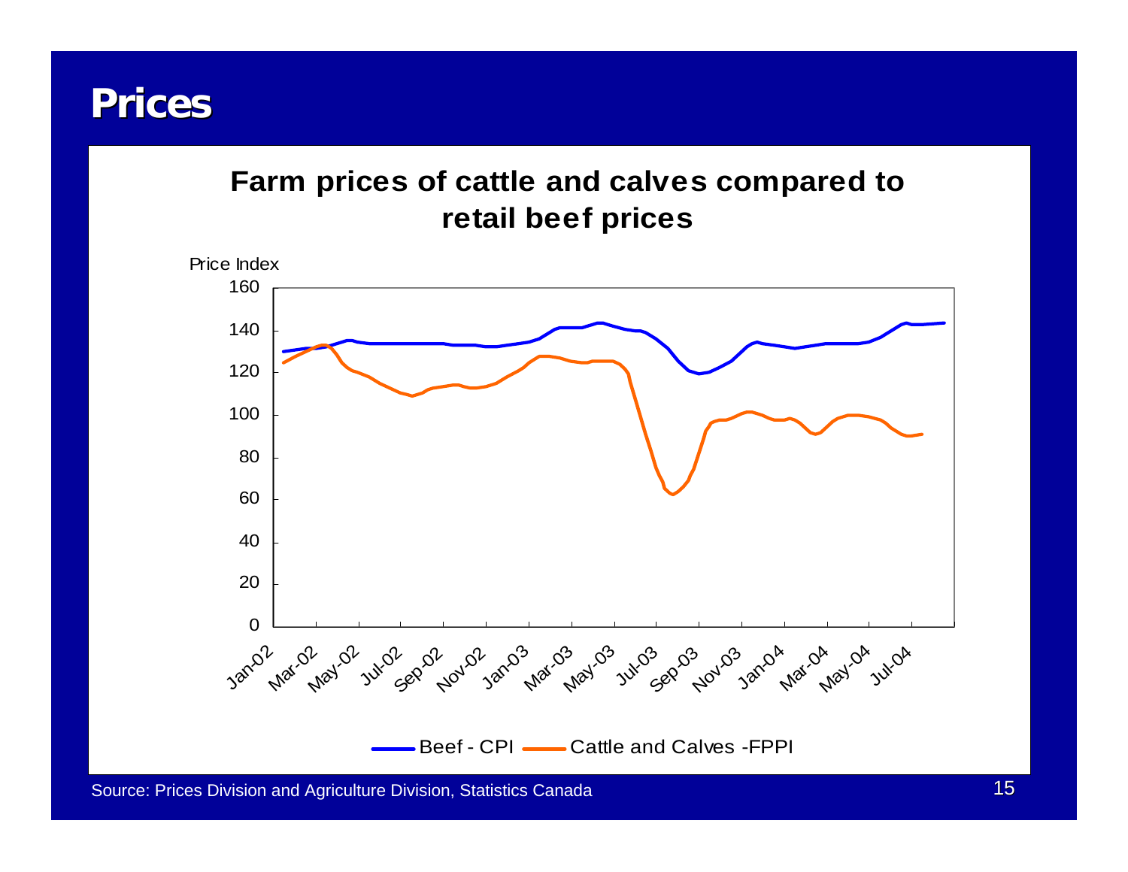### **Prices**

#### **Farm prices of cattle and calves compared to retail beef prices**